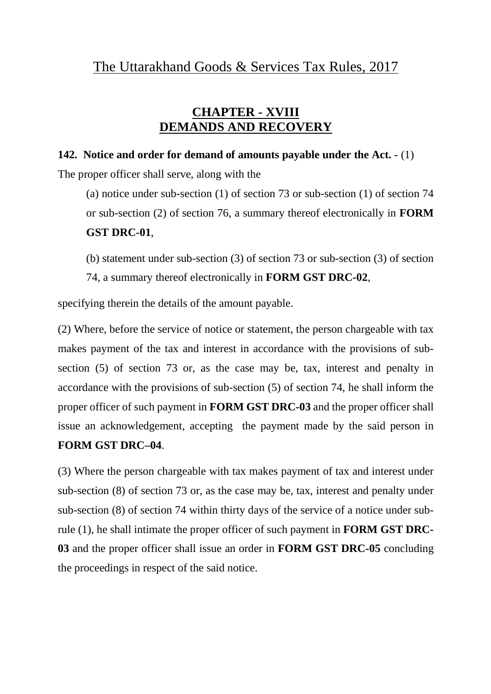### **CHAPTER - XVIII DEMANDS AND RECOVERY**

#### **142. Notice and order for demand of amounts payable under the Act. -** (1)

The proper officer shall serve, along with the

(a) notice under sub-section (1) of section 73 or sub-section (1) of section 74 or sub-section (2) of section 76, a summary thereof electronically in **FORM GST DRC-01**,

(b) statement under sub-section (3) of section 73 or sub-section (3) of section 74, a summary thereof electronically in **FORM GST DRC-02**,

specifying therein the details of the amount payable.

(2) Where, before the service of notice or statement, the person chargeable with tax makes payment of the tax and interest in accordance with the provisions of subsection (5) of section 73 or, as the case may be, tax, interest and penalty in accordance with the provisions of sub-section (5) of section 74, he shall inform the proper officer of such payment in **FORM GST DRC-03** and the proper officer shall issue an acknowledgement, accepting the payment made by the said person in **FORM GST DRC–04**.

(3) Where the person chargeable with tax makes payment of tax and interest under sub-section (8) of section 73 or, as the case may be, tax, interest and penalty under sub-section (8) of section 74 within thirty days of the service of a notice under subrule (1), he shall intimate the proper officer of such payment in **FORM GST DRC-03** and the proper officer shall issue an order in **FORM GST DRC-05** concluding the proceedings in respect of the said notice.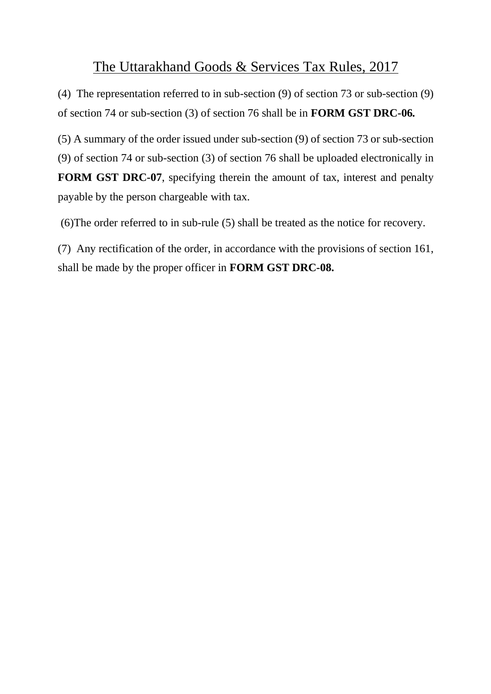(4) The representation referred to in sub-section (9) of section 73 or sub-section (9) of section 74 or sub-section (3) of section 76 shall be in **FORM GST DRC-06***.*

(5) A summary of the order issued under sub-section (9) of section 73 or sub-section (9) of section 74 or sub-section (3) of section 76 shall be uploaded electronically in **FORM GST DRC-07**, specifying therein the amount of tax, interest and penalty payable by the person chargeable with tax.

(6)The order referred to in sub-rule (5) shall be treated as the notice for recovery.

(7) Any rectification of the order, in accordance with the provisions of section 161, shall be made by the proper officer in **FORM GST DRC-08.**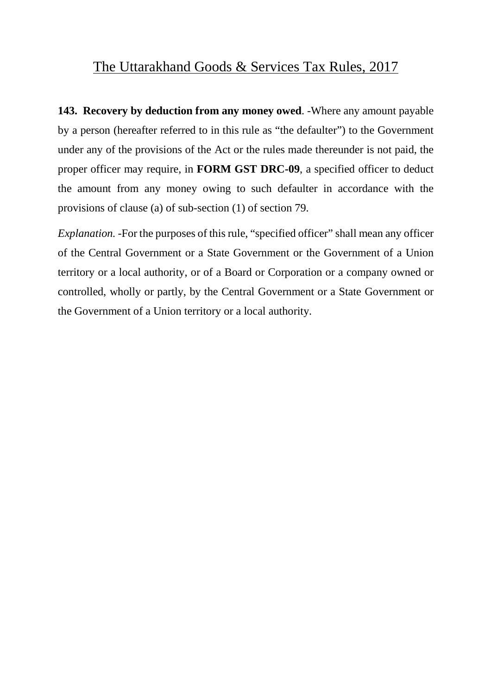**143. Recovery by deduction from any money owed**. -Where any amount payable by a person (hereafter referred to in this rule as "the defaulter") to the Government under any of the provisions of the Act or the rules made thereunder is not paid, the proper officer may require, in **FORM GST DRC-09**, a specified officer to deduct the amount from any money owing to such defaulter in accordance with the provisions of clause (a) of sub-section (1) of section 79.

*Explanation.* -For the purposes of this rule, "specified officer" shall mean any officer of the Central Government or a State Government or the Government of a Union territory or a local authority, or of a Board or Corporation or a company owned or controlled, wholly or partly, by the Central Government or a State Government or the Government of a Union territory or a local authority.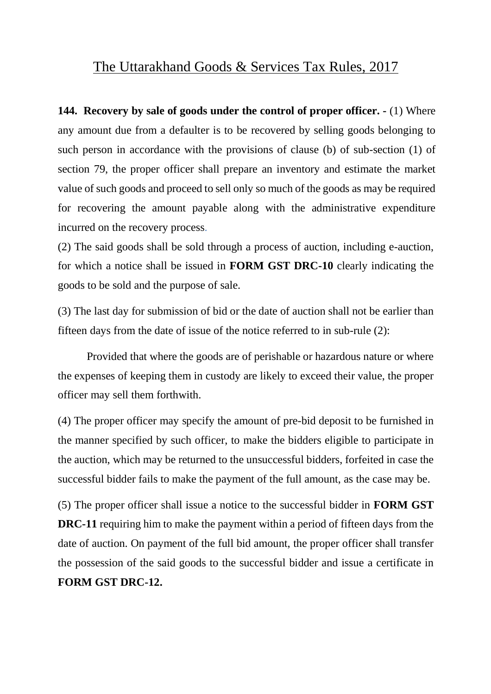**144. Recovery by sale of goods under the control of proper officer. -** (1) Where any amount due from a defaulter is to be recovered by selling goods belonging to such person in accordance with the provisions of clause (b) of sub-section (1) of section 79, the proper officer shall prepare an inventory and estimate the market value of such goods and proceed to sell only so much of the goods as may be required for recovering the amount payable along with the administrative expenditure incurred on the recovery process.

(2) The said goods shall be sold through a process of auction, including e-auction, for which a notice shall be issued in **FORM GST DRC-10** clearly indicating the goods to be sold and the purpose of sale.

(3) The last day for submission of bid or the date of auction shall not be earlier than fifteen days from the date of issue of the notice referred to in sub-rule (2):

Provided that where the goods are of perishable or hazardous nature or where the expenses of keeping them in custody are likely to exceed their value, the proper officer may sell them forthwith.

(4) The proper officer may specify the amount of pre-bid deposit to be furnished in the manner specified by such officer, to make the bidders eligible to participate in the auction, which may be returned to the unsuccessful bidders, forfeited in case the successful bidder fails to make the payment of the full amount, as the case may be.

(5) The proper officer shall issue a notice to the successful bidder in **FORM GST DRC-11** requiring him to make the payment within a period of fifteen days from the date of auction. On payment of the full bid amount, the proper officer shall transfer the possession of the said goods to the successful bidder and issue a certificate in **FORM GST DRC-12.**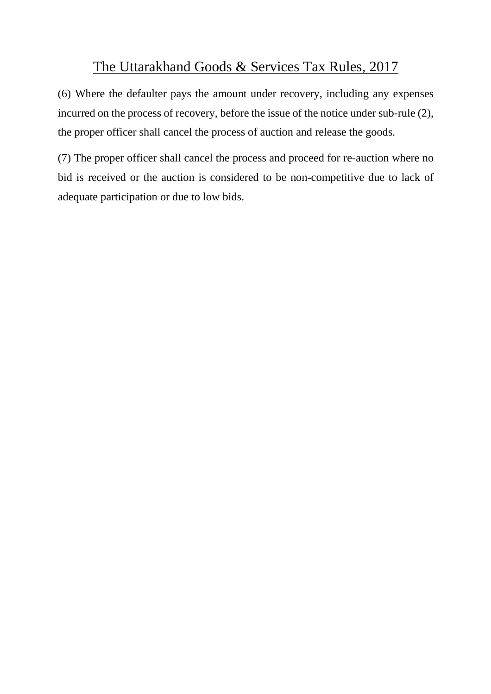(6) Where the defaulter pays the amount under recovery, including any expenses incurred on the process of recovery, before the issue of the notice under sub-rule (2), the proper officer shall cancel the process of auction and release the goods.

(7) The proper officer shall cancel the process and proceed for re-auction where no bid is received or the auction is considered to be non-competitive due to lack of adequate participation or due to low bids.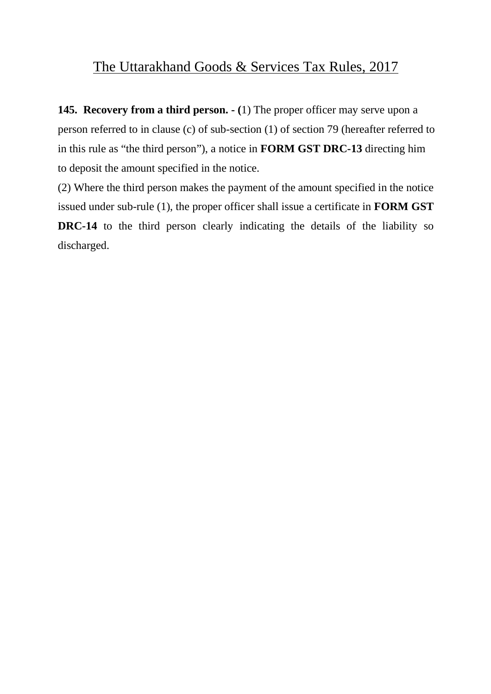**145. Recovery from a third person. - (**1) The proper officer may serve upon a person referred to in clause (c) of sub-section (1) of section 79 (hereafter referred to in this rule as "the third person"), a notice in **FORM GST DRC-13** directing him to deposit the amount specified in the notice.

(2) Where the third person makes the payment of the amount specified in the notice issued under sub-rule (1), the proper officer shall issue a certificate in **FORM GST DRC-14** to the third person clearly indicating the details of the liability so discharged.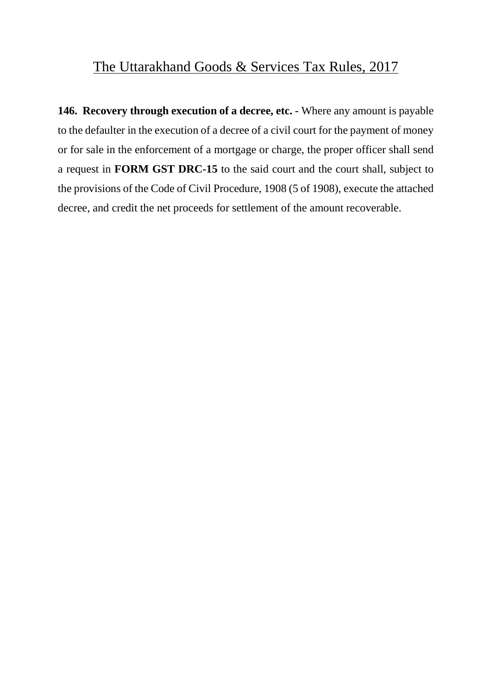**146. Recovery through execution of a decree, etc. -** Where any amount is payable to the defaulter in the execution of a decree of a civil court for the payment of money or for sale in the enforcement of a mortgage or charge, the proper officer shall send a request in **FORM GST DRC-15** to the said court and the court shall, subject to the provisions of the Code of Civil Procedure, 1908 (5 of 1908), execute the attached decree, and credit the net proceeds for settlement of the amount recoverable.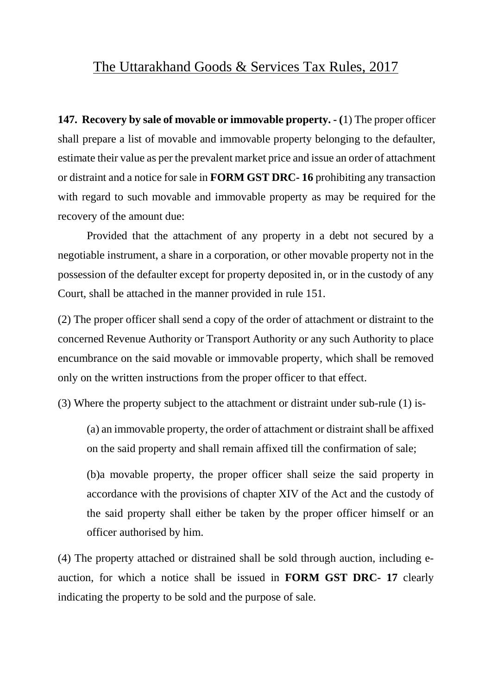**147. Recovery by sale of movable or immovable property. - (**1) The proper officer shall prepare a list of movable and immovable property belonging to the defaulter, estimate their value as per the prevalent market price and issue an order of attachment or distraint and a notice for sale in **FORM GST DRC- 16** prohibiting any transaction with regard to such movable and immovable property as may be required for the recovery of the amount due:

Provided that the attachment of any property in a debt not secured by a negotiable instrument, a share in a corporation, or other movable property not in the possession of the defaulter except for property deposited in, or in the custody of any Court, shall be attached in the manner provided in rule 151.

(2) The proper officer shall send a copy of the order of attachment or distraint to the concerned Revenue Authority or Transport Authority or any such Authority to place encumbrance on the said movable or immovable property, which shall be removed only on the written instructions from the proper officer to that effect.

(3) Where the property subject to the attachment or distraint under sub-rule (1) is-

(a) an immovable property, the order of attachment or distraint shall be affixed on the said property and shall remain affixed till the confirmation of sale;

(b)a movable property, the proper officer shall seize the said property in accordance with the provisions of chapter XIV of the Act and the custody of the said property shall either be taken by the proper officer himself or an officer authorised by him.

(4) The property attached or distrained shall be sold through auction, including eauction, for which a notice shall be issued in **FORM GST DRC- 17** clearly indicating the property to be sold and the purpose of sale.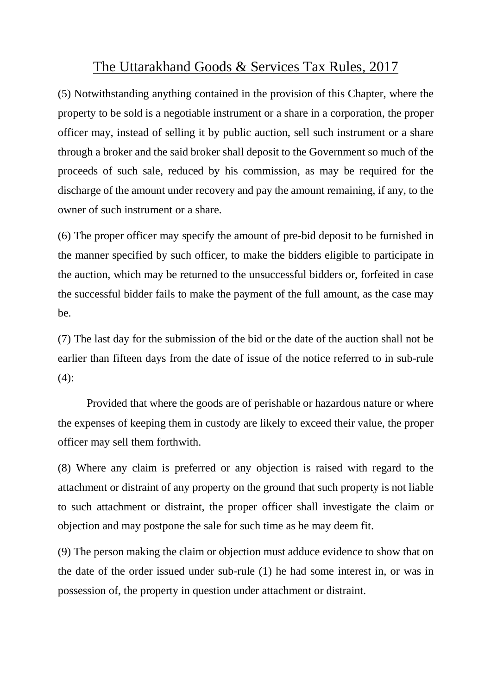(5) Notwithstanding anything contained in the provision of this Chapter, where the property to be sold is a negotiable instrument or a share in a corporation, the proper officer may, instead of selling it by public auction, sell such instrument or a share through a broker and the said broker shall deposit to the Government so much of the proceeds of such sale, reduced by his commission, as may be required for the discharge of the amount under recovery and pay the amount remaining, if any, to the owner of such instrument or a share.

(6) The proper officer may specify the amount of pre-bid deposit to be furnished in the manner specified by such officer, to make the bidders eligible to participate in the auction, which may be returned to the unsuccessful bidders or, forfeited in case the successful bidder fails to make the payment of the full amount, as the case may be.

(7) The last day for the submission of the bid or the date of the auction shall not be earlier than fifteen days from the date of issue of the notice referred to in sub-rule  $(4)$ :

Provided that where the goods are of perishable or hazardous nature or where the expenses of keeping them in custody are likely to exceed their value, the proper officer may sell them forthwith.

(8) Where any claim is preferred or any objection is raised with regard to the attachment or distraint of any property on the ground that such property is not liable to such attachment or distraint, the proper officer shall investigate the claim or objection and may postpone the sale for such time as he may deem fit.

(9) The person making the claim or objection must adduce evidence to show that on the date of the order issued under sub-rule (1) he had some interest in, or was in possession of, the property in question under attachment or distraint.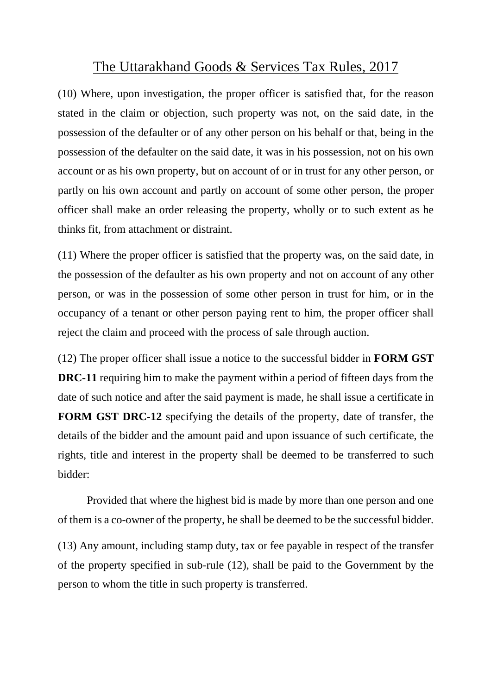(10) Where, upon investigation, the proper officer is satisfied that, for the reason stated in the claim or objection, such property was not, on the said date, in the possession of the defaulter or of any other person on his behalf or that, being in the possession of the defaulter on the said date, it was in his possession, not on his own account or as his own property, but on account of or in trust for any other person, or partly on his own account and partly on account of some other person, the proper officer shall make an order releasing the property, wholly or to such extent as he thinks fit, from attachment or distraint.

(11) Where the proper officer is satisfied that the property was, on the said date, in the possession of the defaulter as his own property and not on account of any other person, or was in the possession of some other person in trust for him, or in the occupancy of a tenant or other person paying rent to him, the proper officer shall reject the claim and proceed with the process of sale through auction.

(12) The proper officer shall issue a notice to the successful bidder in **FORM GST DRC-11** requiring him to make the payment within a period of fifteen days from the date of such notice and after the said payment is made, he shall issue a certificate in **FORM GST DRC-12** specifying the details of the property, date of transfer, the details of the bidder and the amount paid and upon issuance of such certificate, the rights, title and interest in the property shall be deemed to be transferred to such bidder:

Provided that where the highest bid is made by more than one person and one of them is a co-owner of the property, he shall be deemed to be the successful bidder.

(13) Any amount, including stamp duty, tax or fee payable in respect of the transfer of the property specified in sub-rule (12), shall be paid to the Government by the person to whom the title in such property is transferred.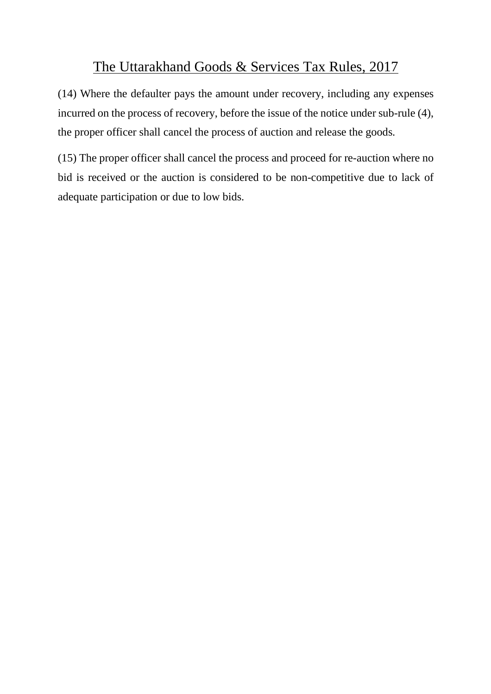(14) Where the defaulter pays the amount under recovery, including any expenses incurred on the process of recovery, before the issue of the notice under sub-rule (4), the proper officer shall cancel the process of auction and release the goods.

(15) The proper officer shall cancel the process and proceed for re-auction where no bid is received or the auction is considered to be non-competitive due to lack of adequate participation or due to low bids.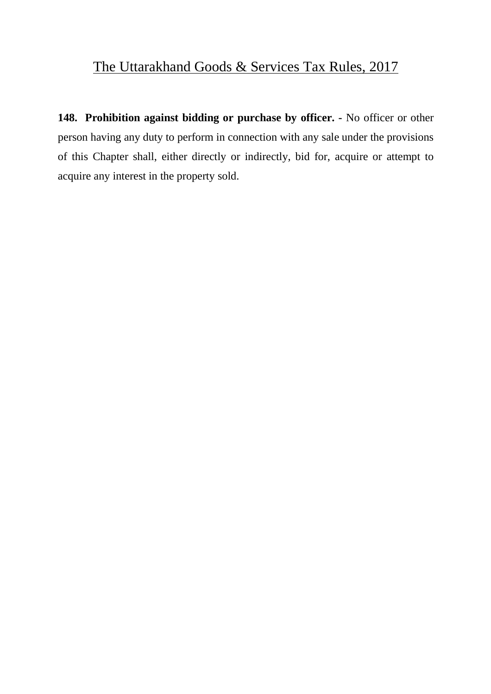**148. Prohibition against bidding or purchase by officer. -** No officer or other person having any duty to perform in connection with any sale under the provisions of this Chapter shall, either directly or indirectly, bid for, acquire or attempt to acquire any interest in the property sold.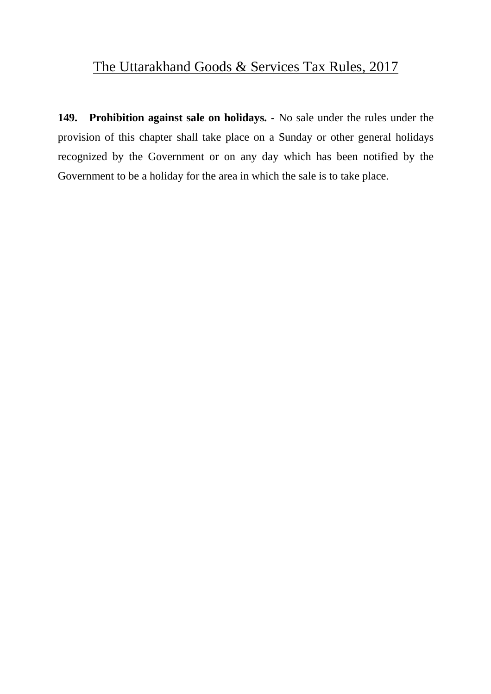**149. Prohibition against sale on holidays. -** No sale under the rules under the provision of this chapter shall take place on a Sunday or other general holidays recognized by the Government or on any day which has been notified by the Government to be a holiday for the area in which the sale is to take place.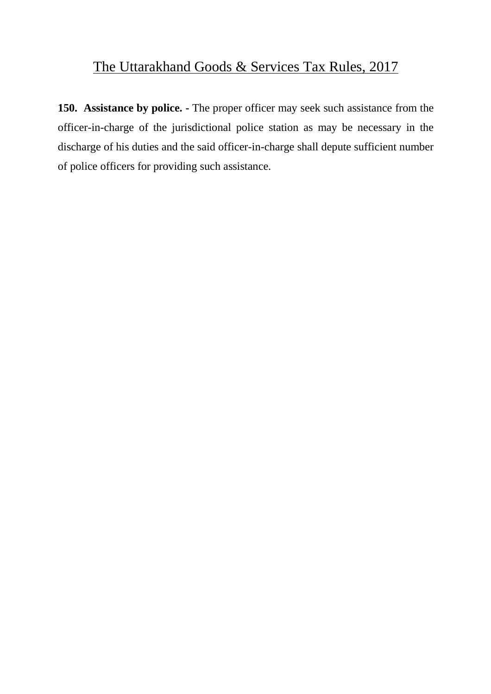**150. Assistance by police. -** The proper officer may seek such assistance from the officer-in-charge of the jurisdictional police station as may be necessary in the discharge of his duties and the said officer-in-charge shall depute sufficient number of police officers for providing such assistance.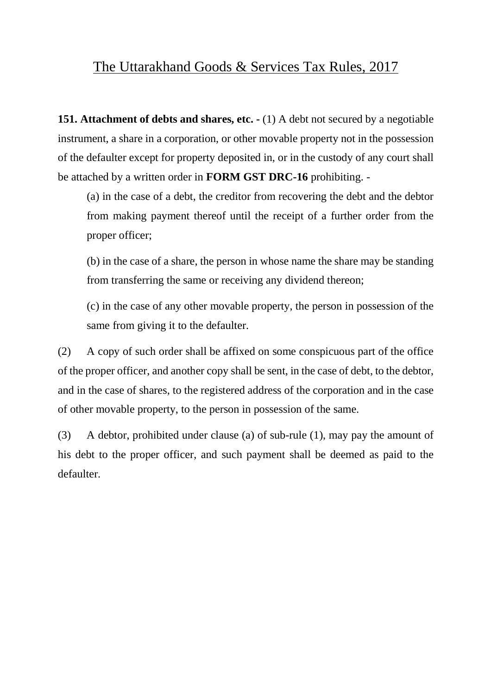**151. Attachment of debts and shares, etc. -** (1) A debt not secured by a negotiable instrument, a share in a corporation, or other movable property not in the possession of the defaulter except for property deposited in, or in the custody of any court shall be attached by a written order in **FORM GST DRC-16** prohibiting. -

(a) in the case of a debt, the creditor from recovering the debt and the debtor from making payment thereof until the receipt of a further order from the proper officer;

(b) in the case of a share, the person in whose name the share may be standing from transferring the same or receiving any dividend thereon;

(c) in the case of any other movable property, the person in possession of the same from giving it to the defaulter.

(2) A copy of such order shall be affixed on some conspicuous part of the office of the proper officer, and another copy shall be sent, in the case of debt, to the debtor, and in the case of shares, to the registered address of the corporation and in the case of other movable property, to the person in possession of the same.

(3) A debtor, prohibited under clause (a) of sub-rule (1), may pay the amount of his debt to the proper officer, and such payment shall be deemed as paid to the defaulter.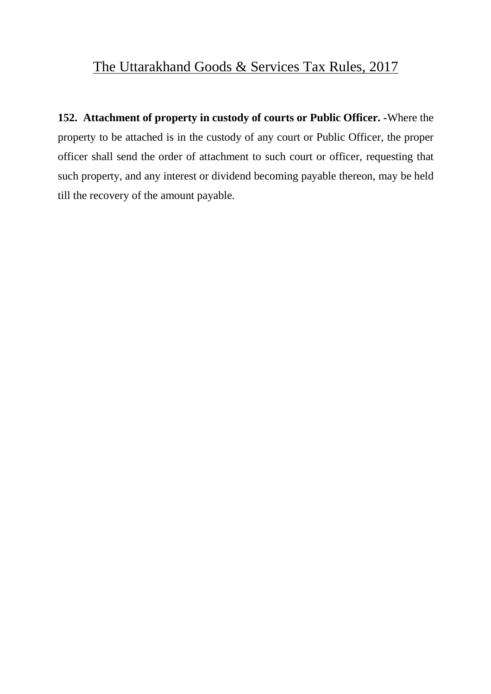**152. Attachment of property in custody of courts or Public Officer. -**Where the property to be attached is in the custody of any court or Public Officer, the proper officer shall send the order of attachment to such court or officer, requesting that such property, and any interest or dividend becoming payable thereon, may be held till the recovery of the amount payable.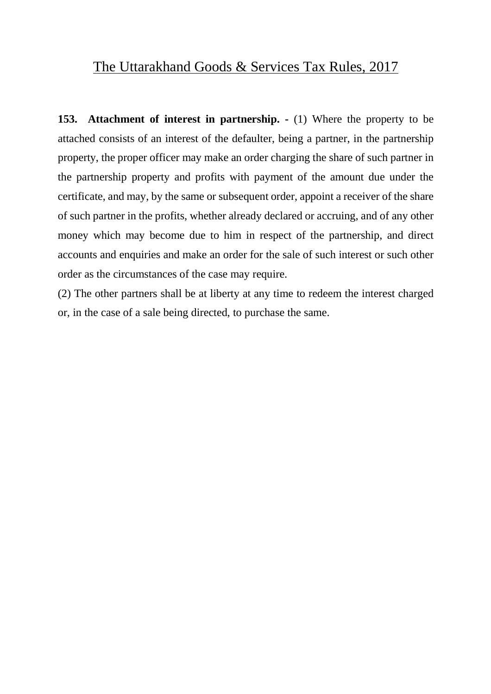**153. Attachment of interest in partnership. -** (1) Where the property to be attached consists of an interest of the defaulter, being a partner, in the partnership property, the proper officer may make an order charging the share of such partner in the partnership property and profits with payment of the amount due under the certificate, and may, by the same or subsequent order, appoint a receiver of the share of such partner in the profits, whether already declared or accruing, and of any other money which may become due to him in respect of the partnership, and direct accounts and enquiries and make an order for the sale of such interest or such other order as the circumstances of the case may require.

(2) The other partners shall be at liberty at any time to redeem the interest charged or, in the case of a sale being directed, to purchase the same.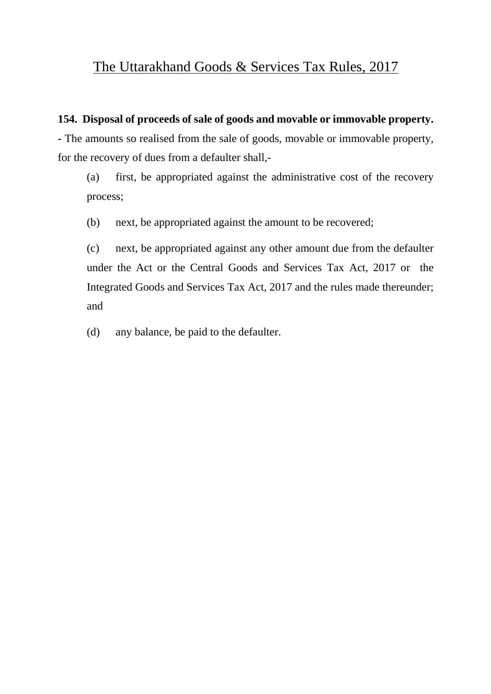#### **154. Disposal of proceeds of sale of goods and movable or immovable property.**

**-** The amounts so realised from the sale of goods, movable or immovable property, for the recovery of dues from a defaulter shall,-

(a) first, be appropriated against the administrative cost of the recovery process;

(b) next, be appropriated against the amount to be recovered;

(c) next, be appropriated against any other amount due from the defaulter under the Act or the Central Goods and Services Tax Act, 2017 or the Integrated Goods and Services Tax Act, 2017 and the rules made thereunder; and

(d) any balance, be paid to the defaulter.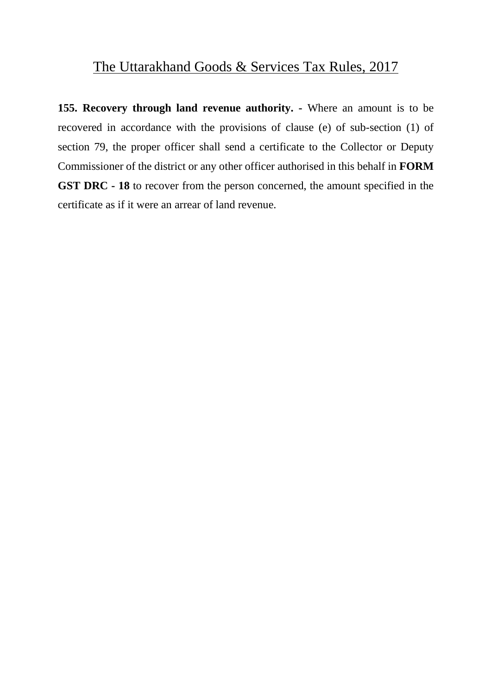**155. Recovery through land revenue authority. -** Where an amount is to be recovered in accordance with the provisions of clause (e) of sub-section (1) of section 79, the proper officer shall send a certificate to the Collector or Deputy Commissioner of the district or any other officer authorised in this behalf in **FORM GST DRC - 18** to recover from the person concerned, the amount specified in the certificate as if it were an arrear of land revenue.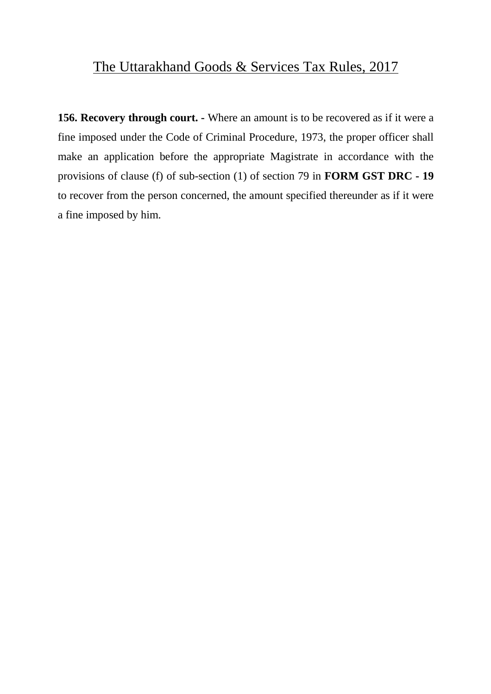**156. Recovery through court. -** Where an amount is to be recovered as if it were a fine imposed under the Code of Criminal Procedure, 1973, the proper officer shall make an application before the appropriate Magistrate in accordance with the provisions of clause (f) of sub-section (1) of section 79 in **FORM GST DRC - 19** to recover from the person concerned, the amount specified thereunder as if it were a fine imposed by him.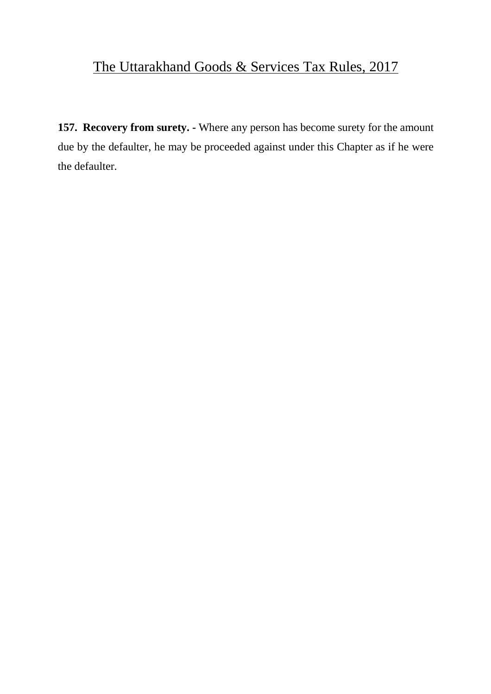**157. Recovery from surety. -** Where any person has become surety for the amount due by the defaulter, he may be proceeded against under this Chapter as if he were the defaulter.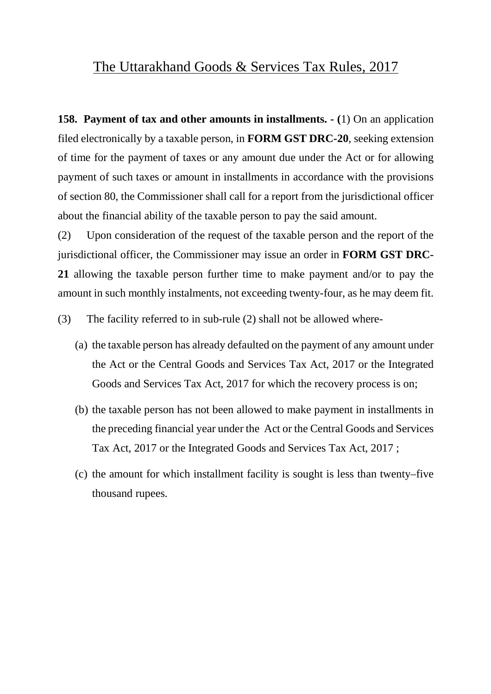**158. Payment of tax and other amounts in installments. - (**1) On an application filed electronically by a taxable person, in **FORM GST DRC-20**, seeking extension of time for the payment of taxes or any amount due under the Act or for allowing payment of such taxes or amount in installments in accordance with the provisions of section 80, the Commissioner shall call for a report from the jurisdictional officer about the financial ability of the taxable person to pay the said amount.

(2) Upon consideration of the request of the taxable person and the report of the jurisdictional officer, the Commissioner may issue an order in **FORM GST DRC-21** allowing the taxable person further time to make payment and/or to pay the amount in such monthly instalments, not exceeding twenty-four, as he may deem fit.

(3) The facility referred to in sub-rule (2) shall not be allowed where-

- (a) the taxable person has already defaulted on the payment of any amount under the Act or the Central Goods and Services Tax Act, 2017 or the Integrated Goods and Services Tax Act, 2017 for which the recovery process is on;
- (b) the taxable person has not been allowed to make payment in installments in the preceding financial year under the Act or the Central Goods and Services Tax Act, 2017 or the Integrated Goods and Services Tax Act, 2017 ;
- (c) the amount for which installment facility is sought is less than twenty–five thousand rupees.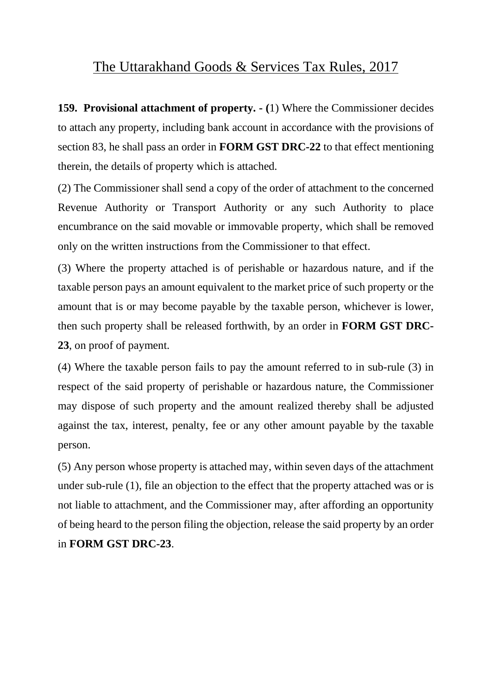**159. Provisional attachment of property. - (**1) Where the Commissioner decides to attach any property, including bank account in accordance with the provisions of section 83, he shall pass an order in **FORM GST DRC-22** to that effect mentioning therein, the details of property which is attached.

(2) The Commissioner shall send a copy of the order of attachment to the concerned Revenue Authority or Transport Authority or any such Authority to place encumbrance on the said movable or immovable property, which shall be removed only on the written instructions from the Commissioner to that effect.

(3) Where the property attached is of perishable or hazardous nature, and if the taxable person pays an amount equivalent to the market price of such property or the amount that is or may become payable by the taxable person, whichever is lower, then such property shall be released forthwith, by an order in **FORM GST DRC-23**, on proof of payment.

(4) Where the taxable person fails to pay the amount referred to in sub-rule (3) in respect of the said property of perishable or hazardous nature, the Commissioner may dispose of such property and the amount realized thereby shall be adjusted against the tax, interest, penalty, fee or any other amount payable by the taxable person.

(5) Any person whose property is attached may, within seven days of the attachment under sub-rule (1), file an objection to the effect that the property attached was or is not liable to attachment, and the Commissioner may, after affording an opportunity of being heard to the person filing the objection, release the said property by an order in **FORM GST DRC-23**.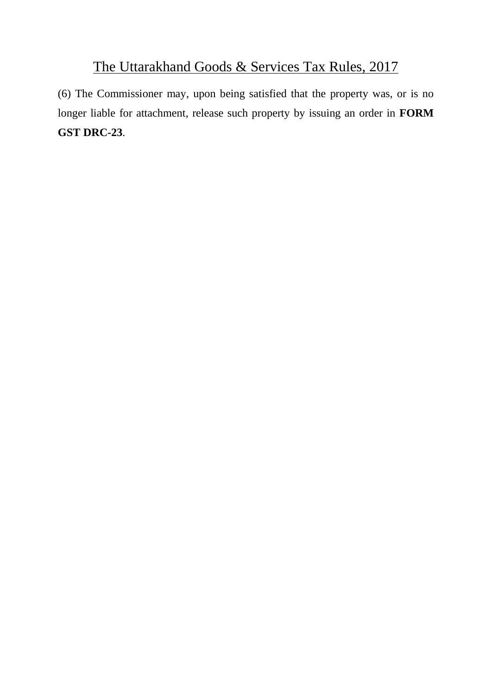(6) The Commissioner may, upon being satisfied that the property was, or is no longer liable for attachment, release such property by issuing an order in **FORM GST DRC-23**.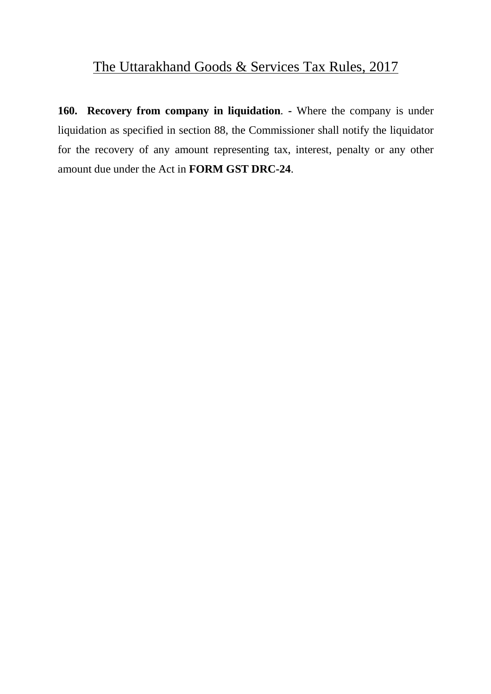**160. Recovery from company in liquidation**. **-** Where the company is under liquidation as specified in section 88, the Commissioner shall notify the liquidator for the recovery of any amount representing tax, interest, penalty or any other amount due under the Act in **FORM GST DRC-24**.